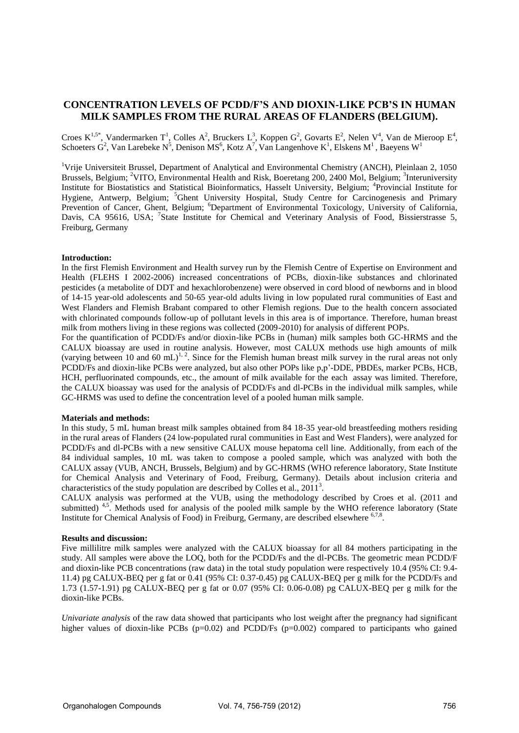# **CONCENTRATION LEVELS OF PCDD/F'S AND DIOXIN-LIKE PCB'S IN HUMAN MILK SAMPLES FROM THE RURAL AREAS OF FLANDERS (BELGIUM).**

Croes  $K^{1,5^*}$ , Vandermarken T<sup>1</sup>, Colles A<sup>2</sup>, Bruckers L<sup>3</sup>, Koppen G<sup>2</sup>, Govarts E<sup>2</sup>, Nelen V<sup>4</sup>, Van de Mieroop E<sup>4</sup>, Schoeters  $G^2$ , Van Larebeke N<sup>5</sup>, Denison MS<sup>6</sup>, Kotz A<sup>7</sup>, Van Langenhove K<sup>1</sup>, Elskens M<sup>1</sup>, Baeyens W<sup>1</sup>

<sup>1</sup>Vrije Universiteit Brussel, Department of Analytical and Environmental Chemistry (ANCH), Pleinlaan 2, 1050 Brussels, Belgium; <sup>2</sup>VITO, Environmental Health and Risk, Boeretang 200, 2400 Mol, Belgium; <sup>3</sup>Interuniversity Institute for Biostatistics and Statistical Bioinformatics, Hasselt University, Belgium; <sup>4</sup>Provincial Institute for Hygiene, Antwerp, Belgium; <sup>5</sup>Ghent University Hospital, Study Centre for Carcinogenesis and Primary Prevention of Cancer, Ghent, Belgium; <sup>6</sup>Department of Environmental Toxicology, University of California, Davis, CA 95616, USA; <sup>7</sup>State Institute for Chemical and Veterinary Analysis of Food, Bissierstrasse 5, Freiburg, Germany

#### **Introduction:**

In the first Flemish Environment and Health survey run by the Flemish Centre of Expertise on Environment and Health (FLEHS I 2002-2006) increased concentrations of PCBs, dioxin-like substances and chlorinated pesticides (a metabolite of DDT and hexachlorobenzene) were observed in cord blood of newborns and in blood of 14-15 year-old adolescents and 50-65 year-old adults living in low populated rural communities of East and West Flanders and Flemish Brabant compared to other Flemish regions. Due to the health concern associated with chlorinated compounds follow-up of pollutant levels in this area is of importance. Therefore, human breast milk from mothers living in these regions was collected (2009-2010) for analysis of different POPs.

For the quantification of PCDD/Fs and/or dioxin-like PCBs in (human) milk samples both GC-HRMS and the CALUX bioassay are used in routine analysis. However, most CALUX methods use high amounts of milk (varying between 10 and 60 mL)<sup>1, 2</sup>. Since for the Flemish human breast milk survey in the rural areas not only PCDD/Fs and dioxin-like PCBs were analyzed, but also other POPs like p,p'-DDE, PBDEs, marker PCBs, HCB, HCH, perfluorinated compounds, etc., the amount of milk available for the each assay was limited. Therefore, the CALUX bioassay was used for the analysis of PCDD/Fs and dl-PCBs in the individual milk samples, while GC-HRMS was used to define the concentration level of a pooled human milk sample.

#### **Materials and methods:**

In this study, 5 mL human breast milk samples obtained from 84 18-35 year-old breastfeeding mothers residing in the rural areas of Flanders (24 low-populated rural communities in East and West Flanders), were analyzed for PCDD/Fs and dl-PCBs with a new sensitive CALUX mouse hepatoma cell line. Additionally, from each of the 84 individual samples, 10 mL was taken to compose a pooled sample, which was analyzed with both the CALUX assay (VUB, ANCH, Brussels, Belgium) and by GC-HRMS (WHO reference laboratory, State Institute for Chemical Analysis and Veterinary of Food, Freiburg, Germany). Details about inclusion criteria and characteristics of the study population are described by Colles et al., 2011<sup>3</sup> .

CALUX analysis was performed at the VUB, using the methodology described by Croes et al. (2011 and submitted) <sup>4,5</sup>. Methods used for analysis of the pooled milk sample by the WHO reference laboratory (State Institute for Chemical Analysis of Food) in Freiburg, Germany, are described elsewhere <sup>6,7,8</sup>.

## **Results and discussion:**

Five millilitre milk samples were analyzed with the CALUX bioassay for all 84 mothers participating in the study. All samples were above the LOQ, both for the PCDD/Fs and the dl-PCBs. The geometric mean PCDD/F and dioxin-like PCB concentrations (raw data) in the total study population were respectively 10.4 (95% CI: 9.4- 11.4) pg CALUX-BEQ per g fat or 0.41 (95% CI: 0.37-0.45) pg CALUX-BEQ per g milk for the PCDD/Fs and 1.73 (1.57-1.91) pg CALUX-BEQ per g fat or 0.07 (95% CI: 0.06-0.08) pg CALUX-BEQ per g milk for the dioxin-like PCBs.

*Univariate analysis* of the raw data showed that participants who lost weight after the pregnancy had significant higher values of dioxin-like PCBs (p=0.02) and PCDD/Fs (p=0.002) compared to participants who gained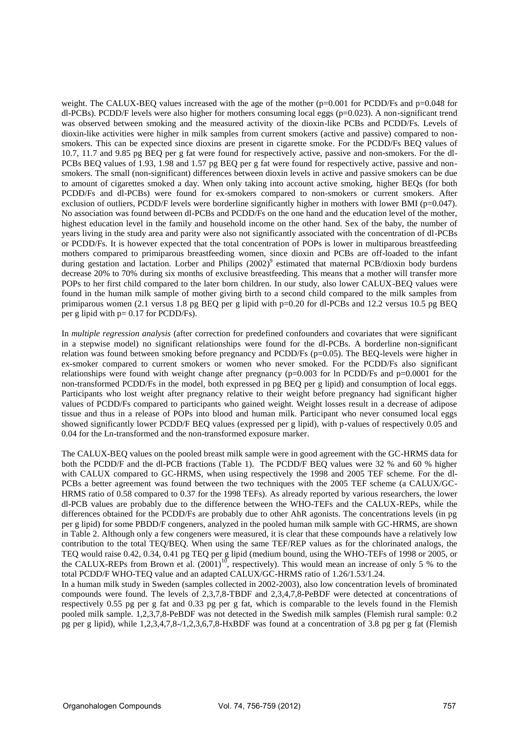weight. The CALUX-BEQ values increased with the age of the mother (p=0.001 for PCDD/Fs and p=0.048 for dl-PCBs). PCDD/F levels were also higher for mothers consuming local eggs (p=0.023). A non-significant trend was observed between smoking and the measured activity of the dioxin-like PCBs and PCDD/Fs. Levels of dioxin-like activities were higher in milk samples from current smokers (active and passive) compared to nonsmokers. This can be expected since dioxins are present in cigarette smoke. For the PCDD/Fs BEQ values of 10.7, 11.7 and 9.85 pg BEQ per g fat were found for respectively active, passive and non-smokers. For the dl-PCBs BEQ values of 1.93, 1.98 and 1.57 pg BEQ per g fat were found for respectively active, passive and nonsmokers. The small (non-significant) differences between dioxin levels in active and passive smokers can be due to amount of cigarettes smoked a day. When only taking into account active smoking, higher BEQs (for both PCDD/Fs and dl-PCBs) were found for ex-smokers compared to non-smokers or current smokers. After exclusion of outliers, PCDD/F levels were borderline significantly higher in mothers with lower BMI (p=0.047). No association was found between dl-PCBs and PCDD/Fs on the one hand and the education level of the mother, highest education level in the family and household income on the other hand. Sex of the baby, the number of years living in the study area and parity were also not significantly associated with the concentration of dl-PCBs or PCDD/Fs. It is however expected that the total concentration of POPs is lower in multiparous breastfeeding mothers compared to primiparous breastfeeding women, since dioxin and PCBs are off-loaded to the infant during gestation and lactation. Lorber and Philips [\(2002\)](#page-2-0)<sup>9</sup> estimated that maternal PCB/dioxin body burdens decrease 20% to 70% during six months of exclusive breastfeeding. This means that a mother will transfer more POPs to her first child compared to the later born children. In our study, also lower CALUX-BEQ values were found in the human milk sample of mother giving birth to a second child compared to the milk samples from primiparous women (2.1 versus 1.8 pg BEQ per g lipid with p=0.20 for dl-PCBs and 12.2 versus 10.5 pg BEQ per g lipid with p= 0.17 for PCDD/Fs).

In *multiple regression analysis* (after correction for predefined confounders and covariates that were significant in a stepwise model) no significant relationships were found for the dl-PCBs. A borderline non-significant relation was found between smoking before pregnancy and PCDD/Fs (p=0.05). The BEQ-levels were higher in ex-smoker compared to current smokers or women who never smoked. For the PCDD/Fs also significant relationships were found with weight change after pregnancy  $(p=0.003$  for ln PCDD/Fs and  $p=0.0001$  for the non-transformed PCDD/Fs in the model, both expressed in pg BEQ per g lipid) and consumption of local eggs. Participants who lost weight after pregnancy relative to their weight before pregnancy had significant higher values of PCDD/Fs compared to participants who gained weight. Weight losses result in a decrease of adipose tissue and thus in a release of POPs into blood and human milk. Participant who never consumed local eggs showed significantly lower PCDD/F BEQ values (expressed per g lipid), with p-values of respectively 0.05 and 0.04 for the Ln-transformed and the non-transformed exposure marker.

The CALUX-BEQ values on the pooled breast milk sample were in good agreement with the GC-HRMS data for both the PCDD/F and the dl-PCB fractions (Table 1). The PCDD/F BEQ values were 32 % and 60 % higher with CALUX compared to GC-HRMS, when using respectively the 1998 and 2005 TEF scheme. For the dl-PCBs a better agreement was found between the two techniques with the 2005 TEF scheme (a CALUX/GC-HRMS ratio of 0.58 compared to 0.37 for the 1998 TEFs). As already reported by various researchers, the lower dl-PCB values are probably due to the difference between the WHO-TEFs and the CALUX-REPs, while the differences obtained for the PCDD/Fs are probably due to other AhR agonists. The concentrations levels (in pg per g lipid) for some PBDD/F congeners, analyzed in the pooled human milk sample with GC-HRMS, are shown in Table 2. Although only a few congeners were measured, it is clear that these compounds have a relatively low contribution to the total TEQ/BEQ. When using the same TEF/REP values as for the chlorinated analogs, the TEQ would raise 0.42, 0.34, 0.41 pg TEQ per g lipid (medium bound, using the WHO-TEFs of 1998 or 2005, or the CALUX-REPs from Brown et al.  $(2001)^{10}$ , respectively). This would mean an increase of only 5 % to the total PCDD/F WHO-TEQ value and an adapted CALUX/GC-HRMS ratio of 1.26/1.53/1.24.

In a human milk study in Sweden (samples collected in 2002-2003), also low concentration levels of brominated compounds were found. The levels of 2,3,7,8-TBDF and 2,3,4,7,8-PeBDF were detected at concentrations of respectively 0.55 pg per g fat and 0.33 pg per g fat, which is comparable to the levels found in the Flemish pooled milk sample. 1,2,3,7,8-PeBDF was not detected in the Swedish milk samples (Flemish rural sample: 0.2 pg per g lipid), while 1,2,3,4,7,8-/1,2,3,6,7,8-HxBDF was found at a concentration of 3.8 pg per g fat (Flemish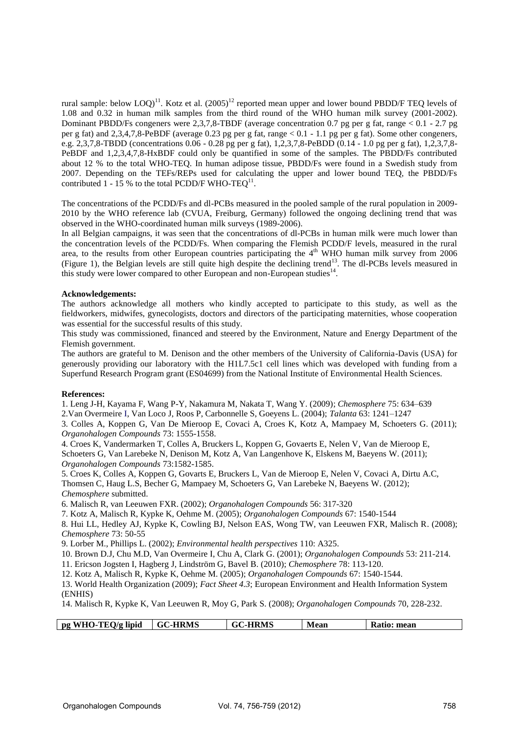rural sample: below LOQ)<sup>11</sup>. Kotz et al.  $(2005)^{12}$  $(2005)^{12}$  reported mean upper and lower bound PBDD/F TEQ levels of 1.08 and 0.32 in human milk samples from the third round of the WHO human milk survey (2001-2002). Dominant PBDD/Fs congeners were 2,3,7,8-TBDF (average concentration 0.7 pg per g fat, range < 0.1 - 2.7 pg per g fat) and 2,3,4,7,8-PeBDF (average 0.23 pg per g fat, range < 0.1 - 1.1 pg per g fat). Some other congeners, e.g. 2,3,7,8-TBDD (concentrations 0.06 - 0.28 pg per g fat), 1,2,3,7,8-PeBDD (0.14 - 1.0 pg per g fat), 1,2,3,7,8- PeBDF and 1,2,3,4,7,8-HxBDF could only be quantified in some of the samples. The PBDD/Fs contributed about 12 % to the total WHO-TEQ. In human adipose tissue, PBDD/Fs were found in a Swedish study from 2007. Depending on the TEFs/REPs used for calculating the upper and lower bound TEQ, the PBDD/Fs contributed 1 - 15 % to the total PCDD/F WHO-TEQ $^{11}$ .

The concentrations of the PCDD/Fs and dl-PCBs measured in the pooled sample of the rural population in 2009- 2010 by the WHO reference lab (CVUA, Freiburg, Germany) followed the ongoing declining trend that was observed in the WHO-coordinated human milk surveys (1989-2006).

In all Belgian campaigns, it was seen that the concentrations of dl-PCBs in human milk were much lower than the concentration levels of the PCDD/Fs. When comparing the Flemish PCDD/F levels, measured in the rural area, to the results from other European countries participating the  $4<sup>th</sup>$  WHO human milk survey from 2006 (Figure 1), the Belgian levels are still quite high despite the declining trend<sup>13</sup>. The dl-PCBs levels measured in this study were lower compared to other European and non-European studies<sup>14</sup>.

## **Acknowledgements:**

The authors acknowledge all mothers who kindly accepted to participate to this study, as well as the fieldworkers, midwifes, gynecologists, doctors and directors of the participating maternities, whose cooperation was essential for the successful results of this study.

This study was commissioned, financed and steered by the Environment, Nature and Energy Department of the Flemish government.

The authors are grateful to M. Denison and the other members of the University of California-Davis (USA) for generously providing our laboratory with the H1L7.5c1 cell lines which was developed with funding from a Superfund Research Program grant (ES04699) from the National Institute of Environmental Health Sciences.

## **References:**

1. Leng J-H, Kayama F, Wang P-Y, Nakamura M, Nakata T, Wang Y. (2009); *Chemosphere* 75: 634–639

2.Van Overmeire I, Van Loco J, Roos P, Carbonnelle S, Goeyens L. (2004); *Talanta* 63: 1241–1247

3. Colles A, Koppen G, Van De Mieroop E, Covaci A, Croes K, Kotz A, Mampaey M, Schoeters G. (2011); *Organohalogen Compounds* 73: 1555-1558.

4. Croes K, Vandermarken T, Colles A, Bruckers L, Koppen G, Govaerts E, Nelen V, Van de Mieroop E, Schoeters G, Van Larebeke N, Denison M, Kotz A, Van Langenhove K, Elskens M, Baeyens W. (2011); *Organohalogen Compounds* 73:1582-1585.

5. Croes K, Colles A, Koppen G, Govarts E, Bruckers L, Van de Mieroop E, Nelen V, Covaci A, Dirtu A.C, Thomsen C, Haug L.S, Becher G, Mampaey M, Schoeters G, Van Larebeke N, Baeyens W. (2012); *Chemosphere* submitted.

6. Malisch R, van Leeuwen FXR. (2002); *Organohalogen Compounds* 56: 317-320

7. Kotz A, Malisch R, Kypke K, Oehme M. (2005); *Organohalogen Compounds* 67: 1540-1544

8. Hui LL, Hedley AJ, Kypke K, Cowling BJ, Nelson EAS, Wong TW, van Leeuwen FXR, Malisch R. (2008); *Chemosphere* 73: 50-55

<span id="page-2-0"></span>9. Lorber M., Phillips L. (2002); *Environmental health perspectives* 110: A325.

10. Brown D.J, Chu M.D, Van Overmeire I, Chu A, Clark G. (2001); *Organohalogen Compounds* 53: 211-214.

11. Ericson Jogsten I, Hagberg J, Lindström G, Bavel B. (2010); *Chemosphere* 78: 113-120.

<span id="page-2-1"></span>12. Kotz A, Malisch R, Kypke K, Oehme M. (2005); *Organohalogen Compounds* 67: 1540-1544.

13. World Health Organization (2009); *Fact Sheet 4.3*; European Environment and Health Information System (ENHIS)

14. Malisch R, Kypke K, Van Leeuwen R, Moy G, Park S. (2008); *Organohalogen Compounds* 70, 228-232.

| :M<br>lipid<br>ng<br>mean<br>m.<br>‴a.<br>. |
|---------------------------------------------|
|---------------------------------------------|